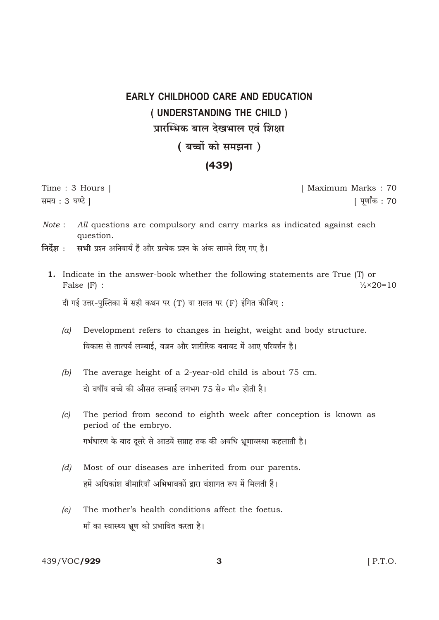## **EARLY CHILDHOOD CARE AND EDUCATION** (UNDERSTANDING THE CHILD) प्रारम्भिक बाल देखभाल एवं शिक्षा

## ( बच्चों को समझना)

## $(439)$

Time: 3 Hours | समय: 3 घण्टे |

[ Maximum Marks: 70 [ पुर्णांक : 70

- $Note:$ All questions are compulsory and carry marks as indicated against each question.
- निर्देश $\cdot$ सभी प्रश्न अनिवार्य हैं और प्रत्येक प्रश्न के अंक सामने दिए गए हैं।
	- **1.** Indicate in the answer-book whether the following statements are True (T) or False  $(F)$  :  $\frac{1}{2} \times 20 = 10$

दी गई उत्तर-पुस्तिका में सही कथन पर (T) या ग़लत पर (F) इंगित कीजिए:

- Development refers to changes in height, weight and body structure.  $(a)$ विकास से तात्पर्य लम्बाई. वज़न और शारीरिक बनावट में आए परिवर्त्तन हैं।
- $(b)$ The average height of a 2-year-old child is about 75 cm. दो वर्षीय बच्चे की औसत लम्बाई लगभग 75 से० मी० होती है।
- The period from second to eighth week after conception is known as  $(c)$ period of the embryo. गर्भधारण के बाद दूसरे से आठवें सप्ताह तक की अवधि भ्रूणावस्था कहलाती है।
- Most of our diseases are inherited from our parents.  $(d)$ हमें अधिकांश बीमारियाँ अभिभावकों द्वारा वंशागत रूप में मिलती हैं।
- The mother's health conditions affect the foetus.  $(e)$ माँ का स्वास्थ्य भ्रूण को प्रभावित करता है।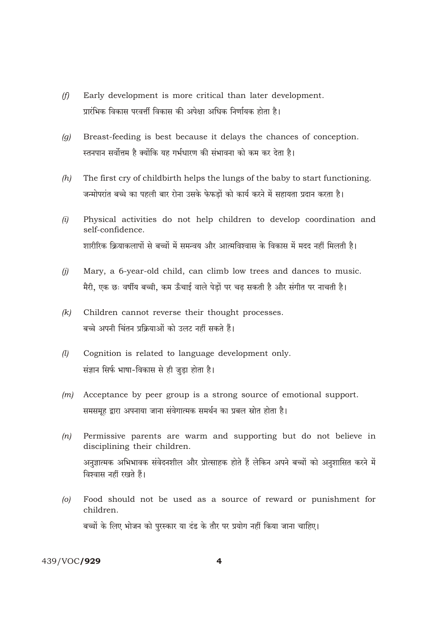- $(f)$ Early development is more critical than later development. प्रारंभिक विकास परवर्त्ती विकास की अपेक्षा अधिक निर्णायक होता है।
- Breast-feeding is best because it delays the chances of conception.  $(g)$ स्तनपान सर्वोत्तम है क्योंकि यह गर्भधारण की संभावना को कम कर देता है।
- The first cry of childbirth helps the lungs of the baby to start functioning.  $(h)$ जन्मोपरांत बच्चे का पहली बार रोना उसके फेफडों को कार्य करने में सहायता प्रदान करता है।
- Physical activities do not help children to develop coordination and  $(i)$ self-confidence. शारीरिक क्रियाकलापों से बच्चों में समन्वय और आत्मविश्वास के विकास में मदद नहीं मिलती है।
- $(i)$ Mary, a 6-year-old child, can climb low trees and dances to music. मैरी, एक छः वर्षीय बच्ची, कम ऊँचाई वाले पेडों पर चढ सकती है और संगीत पर नाचती है।
- $(k)$ Children cannot reverse their thought processes. बच्चे अपनी चिंतन प्रक्रियाओं को उलट नहीं सकते हैं।
- $(l)$ Cognition is related to language development only. संज्ञान सिर्फ भाषा-विकास से ही जुड़ा होता है।
- $(m)$  Acceptance by peer group is a strong source of emotional support. समसमूह द्वारा अपनाया जाना संवेगात्मक समर्थन का प्रबल स्रोत होता है।
- $(n)$ Permissive parents are warm and supporting but do not believe in disciplining their children. अनुज्ञात्मक अभिभावक संवेदनशील और प्रोत्साहक होते हैं लेकिन अपने बच्चों को अनुशासित करने में विश्वास नहीं रखते हैं।
- Food should not be used as a source of reward or punishment for  $\left( 0 \right)$ children. बच्चों के लिए भोजन को पुरस्कार या दंड के तौर पर प्रयोग नहीं किया जाना चाहिए।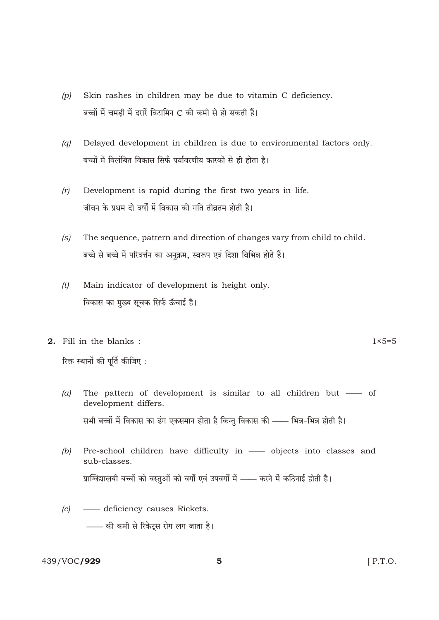- Skin rashes in children may be due to vitamin C deficiency.  $(p)$ बच्चों में चमडी में दरारें विटामिन C की कमी से हो सकती हैं।
- Delayed development in children is due to environmental factors only.  $(q)$ बच्चों में विलंबित विकास सिर्फ पर्यावरणीय कारकों से ही होता है।
- $(r)$ Development is rapid during the first two years in life. जीवन के प्रथम दो वर्षों में विकास की गति तीव्रतम होती है।
- The sequence, pattern and direction of changes vary from child to child.  $(s)$ बच्चे से बच्चे में परिवर्त्तन का अनुक्रम, स्वरूप एवं दिशा विभिन्न होते हैं।
- $(t)$ Main indicator of development is height only. विकास का मुख्य सूचक सिर्फ ऊँचाई है।
- 2. Fill in the blanks:

रिक्त स्थानों की पूर्ति कीजिए:

- The pattern of development is similar to all children but of  $(a)$ development differs. सभी बच्चों में विकास का ढंग एकसमान होता है किन्तु विकास की —— भिन्न-भिन्न होती है।
- Pre-school children have difficulty in objects into classes and  $(b)$ sub-classes. प्राग्विद्यालयी बच्चों को वस्तुओं को वर्गों एवं उपवर्गों में —— करने में कठिनाई होती है।
- $|c|$ - deficiency causes Rickets. —— की कमी से रिकेट्स रोग लग जाता है।

 $1\times 5=5$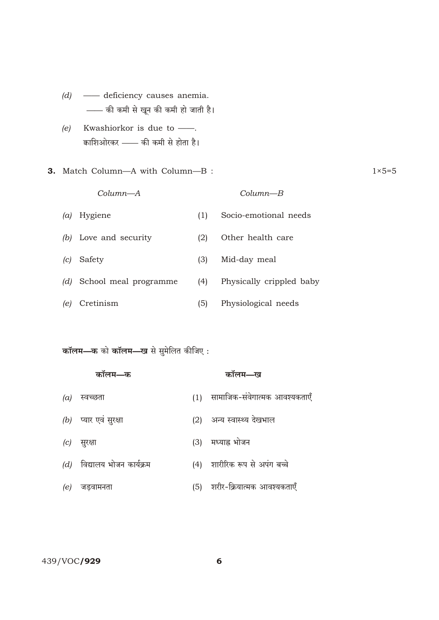- $(d)$  deficiency causes anemia. - की कमी से खून की कमी हो जाती है।
- Kwashiorkor is due to -- $(e)$ काशिओरकर —— की कमी से होता है।
- 3. Match Column-A with Column-B:

Column-A

 $Column-B$ 

Socio-emotional needs  $(a)$  Hygiene  $(1)$ (b) Love and security Other health care  $(2)$ (c) Safety  $(3)$ Mid-day meal Physically crippled baby (d) School meal programme  $(4)$ (e) Cretinism Physiological needs  $(5)$ 

## कॉलम—क को कॉलम—ख से सुमेलित कीजिए:

|     | कॉलम—क                        |     | कॉलम—ख                            |
|-----|-------------------------------|-----|-----------------------------------|
| (a) | स्वच्छता                      |     | (1) सामाजिक-संवेगात्मक आवश्यकताएँ |
|     | $(b)$ प्यार एवं सुरक्षा       | (2) | अन्य स्वास्थ्य देखभाल             |
| (c) | सुरक्षा                       | (3) | मध्याह्न भोजन                     |
|     | $(d)$ विद्यालय भोजन कार्यक्रम |     | (4) शारीरिक रूप से अपंग बच्चे     |
| (e) | जडवामनता                      |     | (5) शरीर-क्रियात्मक आवश्यकताएँ    |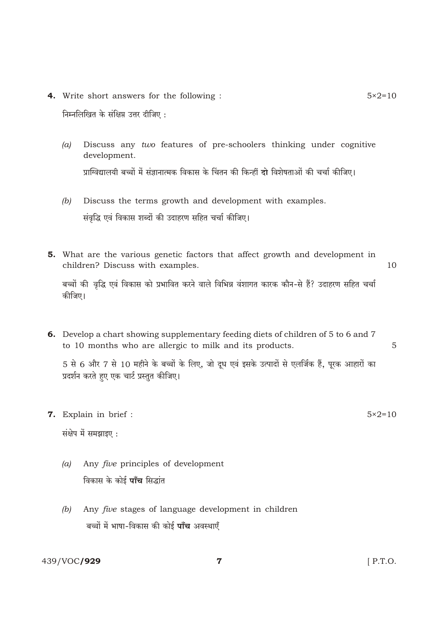4. Write short answers for the following :

निम्नलिखित के संक्षिप्त उत्तर दीजिए:

- Discuss any two features of pre-schoolers thinking under cognitive  $(a)$ development. प्राग्विद्यालयी बच्चों में संज्ञानात्मक विकास के चिंतन की किन्हीं दो विशेषताओं की चर्चा कीजिए।
- Discuss the terms growth and development with examples.  $(b)$ संवृद्धि एवं विकास शब्दों की उदाहरण सहित चर्चा कीजिए।
- 5. What are the various genetic factors that affect growth and development in children? Discuss with examples. 10

5

बच्चों की वृद्धि एवं विकास को प्रभावित करने वाले विभिन्न वंशागत कारक कौन-से हैं? उदाहरण सहित चर्चा कीजिए।

6. Develop a chart showing supplementary feeding diets of children of 5 to 6 and 7 to 10 months who are allergic to milk and its products.

5 से 6 और 7 से 10 महीने के बच्चों के लिए, जो दूध एवं इसके उत्पादों से एलर्जिक हैं, पूरक आहारों का प्रदर्शन करते हुए एक चार्ट प्रस्तुत कीजिए।

7. Explain in brief :

संक्षेप में समझाइए:

- $(a)$ Any *five* principles of development विकास के कोई **पाँच** सिद्धांत
- Any five stages of language development in children  $(b)$ बच्चों में भाषा-विकास की कोई **पाँच** अवस्थाएँ

 $5 \times 2 = 10$ 

 $5 \times 2 = 10$